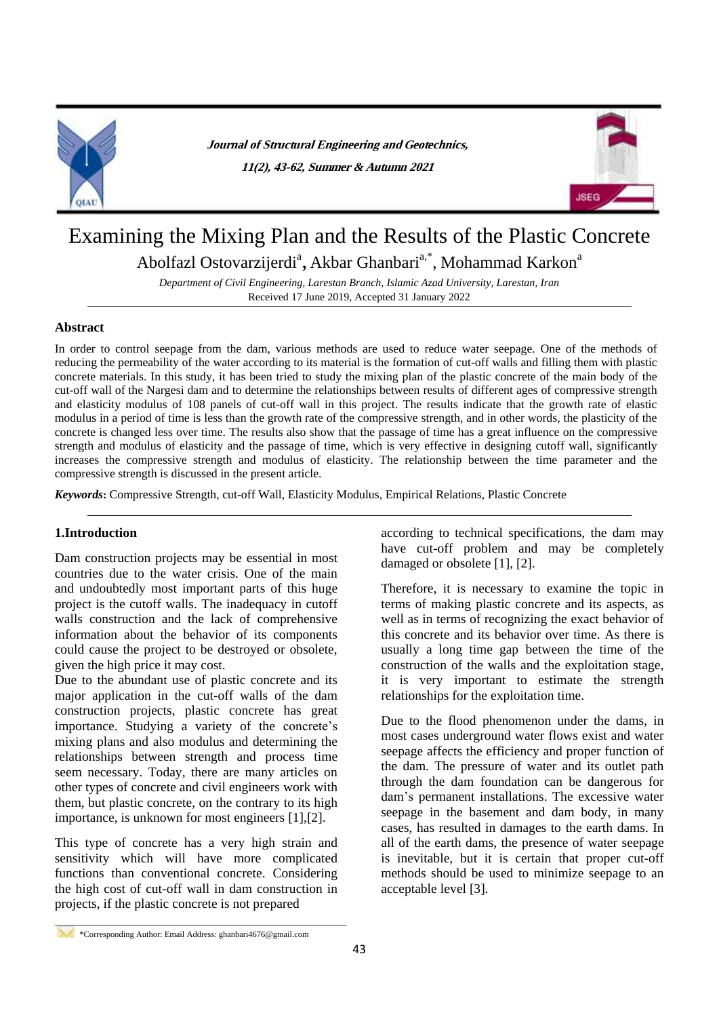

**Journal of Structural Engineering and Geotechnics, 11(2), 43-62, Summer & Autumn 2021**



# Examining the Mixing Plan and the Results of the Plastic Concrete

Abolfazl Ostovarzijerdi<sup>a</sup>, Akbar Ghanbari<sup>a,\*</sup>, Mohammad Karkon<sup>a</sup>

*Department of Civil Engineering, Larestan Branch, Islamic Azad University, Larestan, Iran* Received 17 June 2019, Accepted 31 January 2022

# **Abstract**

In order to control seepage from the dam, various methods are used to reduce water seepage. One of the methods of reducing the permeability of the water according to its material is the formation of cut-off walls and filling them with plastic concrete materials. In this study, it has been tried to study the mixing plan of the plastic concrete of the main body of the cut-off wall of the Nargesi dam and to determine the relationships between results of different ages of compressive strength and elasticity modulus of 108 panels of cut-off wall in this project. The results indicate that the growth rate of elastic modulus in a period of time is less than the growth rate of the compressive strength, and in other words, the plasticity of the concrete is changed less over time. The results also show that the passage of time has a great influence on the compressive strength and modulus of elasticity and the passage of time, which is very effective in designing cutoff wall, significantly increases the compressive strength and modulus of elasticity. The relationship between the time parameter and the compressive strength is discussed in the present article.

*Keywords***:** Compressive Strength, cut-off Wall, Elasticity Modulus, Empirical Relations, Plastic Concrete

# **1.Introduction**

Dam construction projects may be essential in most countries due to the water crisis. One of the main and undoubtedly most important parts of this huge project is the cutoff walls. The inadequacy in cutoff walls construction and the lack of comprehensive information about the behavior of its components could cause the project to be destroyed or obsolete, given the high price it may cost.

Due to the abundant use of plastic concrete and its major application in the cut-off walls of the dam construction projects, plastic concrete has great importance. Studying a variety of the concrete's mixing plans and also modulus and determining the relationships between strength and process time seem necessary. Today, there are many articles on other types of concrete and civil engineers work with them, but plastic concrete, on the contrary to its high importance, is unknown for most engineers [1],[2].

This type of concrete has a very high strain and sensitivity which will have more complicated functions than conventional concrete. Considering the high cost of cut-off wall in dam construction in projects, if the plastic concrete is not prepared

according to technical specifications, the dam may have cut-off problem and may be completely damaged or obsolete [1], [2].

Therefore, it is necessary to examine the topic in terms of making plastic concrete and its aspects, as well as in terms of recognizing the exact behavior of this concrete and its behavior over time. As there is usually a long time gap between the time of the construction of the walls and the exploitation stage, it is very important to estimate the strength relationships for the exploitation time.

Due to the flood phenomenon under the dams, in most cases underground water flows exist and water seepage affects the efficiency and proper function of the dam. The pressure of water and its outlet path through the dam foundation can be dangerous for dam's permanent installations. The excessive water seepage in the basement and dam body, in many cases, has resulted in damages to the earth dams. In all of the earth dams, the presence of water seepage is inevitable, but it is certain that proper cut-off methods should be used to minimize seepage to an acceptable level [3].

\*Corresponding Author: Email Address: ghanbari4676@gmail.com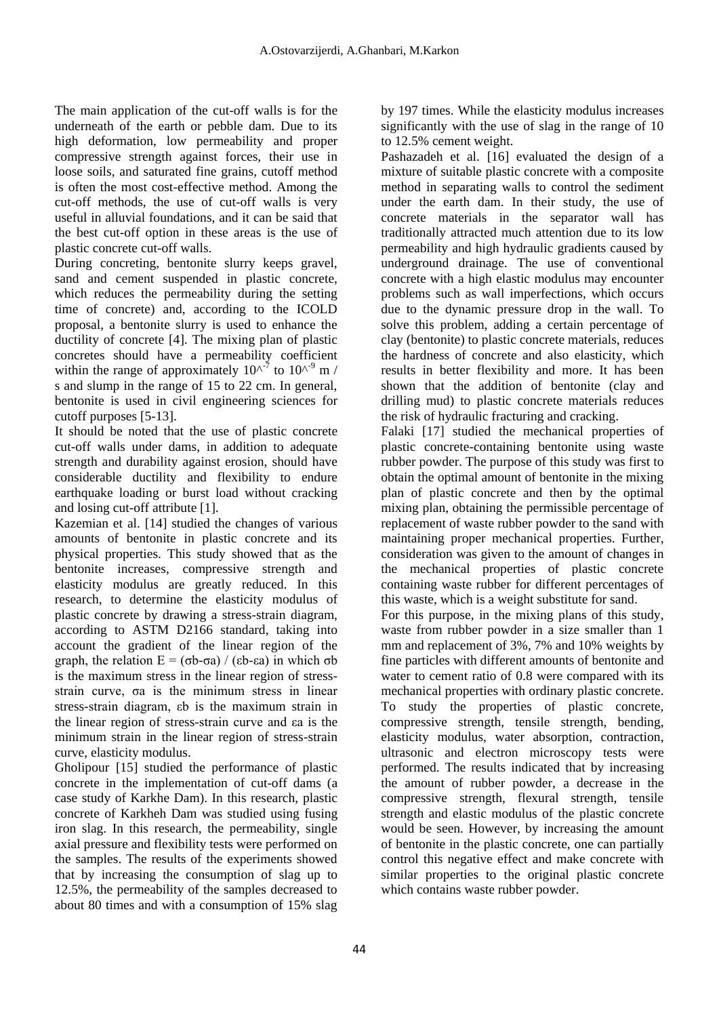The main application of the cut-off walls is for the underneath of the earth or pebble dam. Due to its high deformation, low permeability and proper compressive strength against forces, their use in loose soils, and saturated fine grains, cutoff method is often the most cost-effective method. Among the cut-off methods, the use of cut-off walls is very useful in alluvial foundations, and it can be said that the best cut-off option in these areas is the use of plastic concrete cut-off walls.

During concreting, bentonite slurry keeps gravel, sand and cement suspended in plastic concrete, which reduces the permeability during the setting time of concrete) and, according to the ICOLD proposal, a bentonite slurry is used to enhance the ductility of concrete [4]. The mixing plan of plastic concretes should have a permeability coefficient within the range of approximately  $10^{\lambda^{-7}}$  to  $10^{\lambda^{-9}}$  m / s and slump in the range of 15 to 22 cm. In general, bentonite is used in civil engineering sciences for cutoff purposes [5-13].

It should be noted that the use of plastic concrete cut-off walls under dams, in addition to adequate strength and durability against erosion, should have considerable ductility and flexibility to endure earthquake loading or burst load without cracking and losing cut-off attribute [1].

Kazemian et al. [14] studied the changes of various amounts of bentonite in plastic concrete and its physical properties. This study showed that as the bentonite increases, compressive strength and elasticity modulus are greatly reduced. In this research, to determine the elasticity modulus of plastic concrete by drawing a stress-strain diagram, according to ASTM D2166 standard, taking into account the gradient of the linear region of the graph, the relation  $E = (σb-σa) / (εb-εa)$  in which σb is the maximum stress in the linear region of stressstrain curve, σa is the minimum stress in linear stress-strain diagram, εb is the maximum strain in the linear region of stress-strain curve and εa is the minimum strain in the linear region of stress-strain curve, elasticity modulus.

Gholipour [15] studied the performance of plastic concrete in the implementation of cut-off dams (a case study of Karkhe Dam). In this research, plastic concrete of Karkheh Dam was studied using fusing iron slag. In this research, the permeability, single axial pressure and flexibility tests were performed on the samples. The results of the experiments showed that by increasing the consumption of slag up to 12.5%, the permeability of the samples decreased to about 80 times and with a consumption of 15% slag by 197 times. While the elasticity modulus increases significantly with the use of slag in the range of 10 to 12.5% cement weight.

Pashazadeh et al. [16] evaluated the design of a mixture of suitable plastic concrete with a composite method in separating walls to control the sediment under the earth dam. In their study, the use of concrete materials in the separator wall has traditionally attracted much attention due to its low permeability and high hydraulic gradients caused by underground drainage. The use of conventional concrete with a high elastic modulus may encounter problems such as wall imperfections, which occurs due to the dynamic pressure drop in the wall. To solve this problem, adding a certain percentage of clay (bentonite) to plastic concrete materials, reduces the hardness of concrete and also elasticity, which results in better flexibility and more. It has been shown that the addition of bentonite (clay and drilling mud) to plastic concrete materials reduces the risk of hydraulic fracturing and cracking.

Falaki [17] studied the mechanical properties of plastic concrete-containing bentonite using waste rubber powder. The purpose of this study was first to obtain the optimal amount of bentonite in the mixing plan of plastic concrete and then by the optimal mixing plan, obtaining the permissible percentage of replacement of waste rubber powder to the sand with maintaining proper mechanical properties. Further, consideration was given to the amount of changes in the mechanical properties of plastic concrete containing waste rubber for different percentages of this waste, which is a weight substitute for sand.

For this purpose, in the mixing plans of this study, waste from rubber powder in a size smaller than 1 mm and replacement of 3%, 7% and 10% weights by fine particles with different amounts of bentonite and water to cement ratio of 0.8 were compared with its mechanical properties with ordinary plastic concrete. To study the properties of plastic concrete, compressive strength, tensile strength, bending, elasticity modulus, water absorption, contraction, ultrasonic and electron microscopy tests were performed. The results indicated that by increasing the amount of rubber powder, a decrease in the compressive strength, flexural strength, tensile strength and elastic modulus of the plastic concrete would be seen. However, by increasing the amount of bentonite in the plastic concrete, one can partially control this negative effect and make concrete with similar properties to the original plastic concrete which contains waste rubber powder.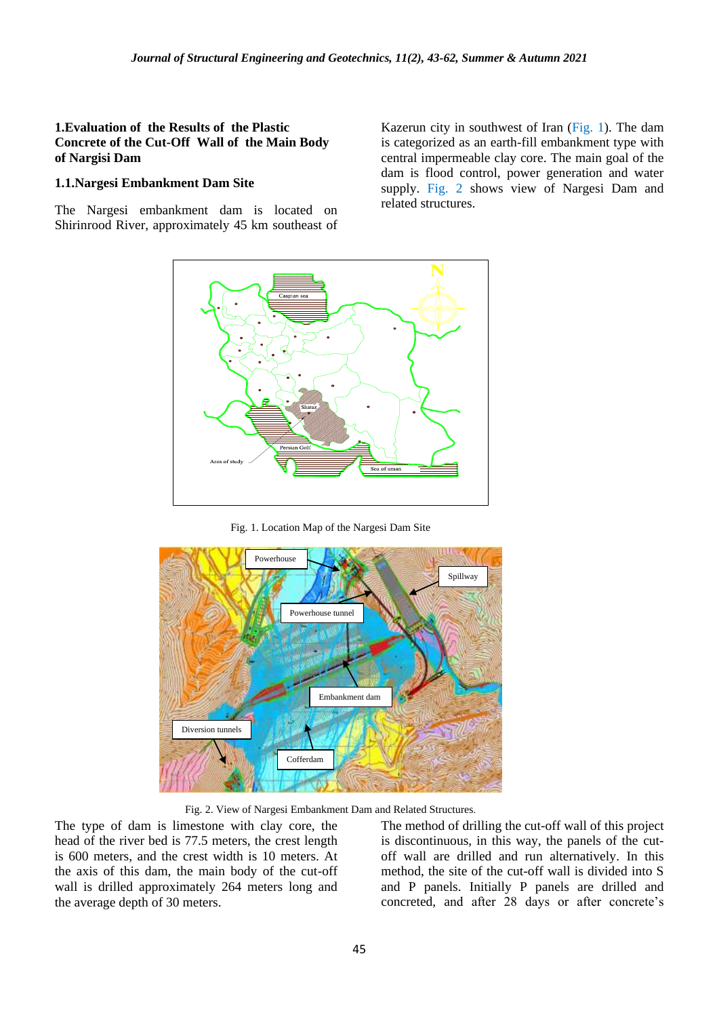# **1.Evaluation of the Results of the Plastic Concrete of the Cut-Off Wall of the Main Body of Nargisi Dam**

#### **1.1.Nargesi Embankment Dam Site**

The Nargesi embankment dam is located on Shirinrood River, approximately 45 km southeast of

Kazerun city in southwest of Iran (Fig. 1). The dam is categorized as an earth-fill embankment type with central impermeable clay core. The main goal of the dam is flood control, power generation and water supply. Fig. 2 shows view of Nargesi Dam and related structures.



Fig. 1. Location Map of the Nargesi Dam Site



Fig. 2. View of Nargesi Embankment Dam and Related Structures.

The type of dam is limestone with clay core, the head of the river bed is 77.5 meters, the crest length is 600 meters, and the crest width is 10 meters. At the axis of this dam, the main body of the cut-off wall is drilled approximately 264 meters long and the average depth of 30 meters.

The method of drilling the cut-off wall of this project is discontinuous, in this way, the panels of the cutoff wall are drilled and run alternatively. In this method, the site of the cut-off wall is divided into S and P panels. Initially P panels are drilled and concreted, and after 28 days or after concrete's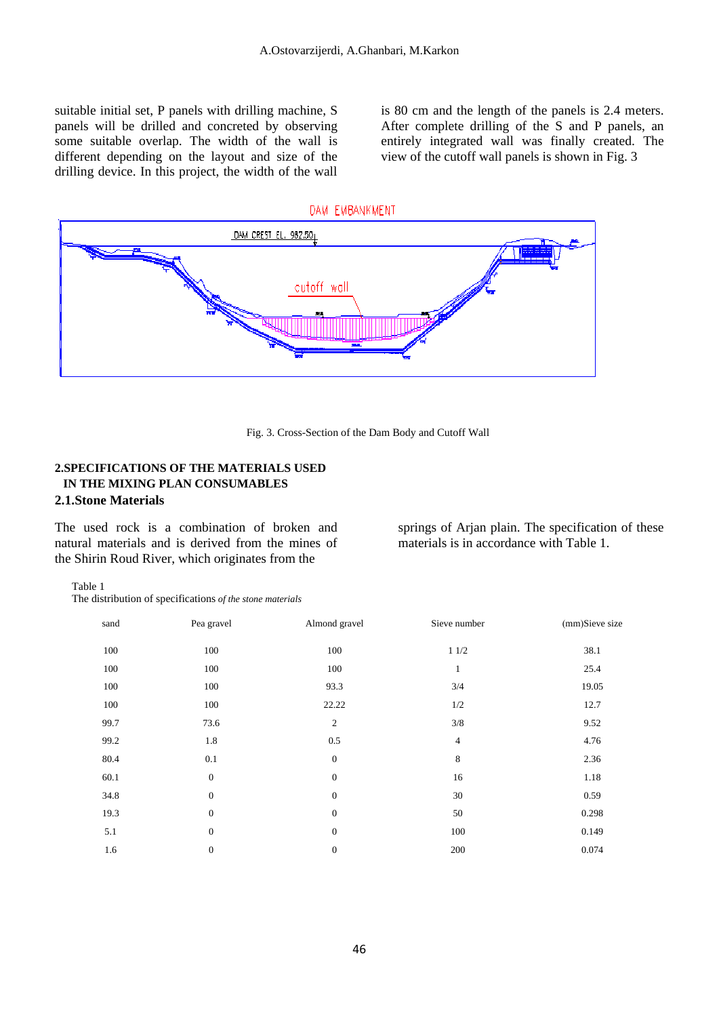suitable initial set, P panels with drilling machine, S panels will be drilled and concreted by observing some suitable overlap. The width of the wall is different depending on the layout and size of the drilling device. In this project, the width of the wall

is 80 cm and the length of the panels is 2.4 meters. After complete drilling of the S and P panels, an entirely integrated wall was finally created. The view of the cutoff wall panels is shown in Fig. 3



Fig. 3. Cross-Section of the Dam Body and Cutoff Wall

# **2.SPECIFICATIONS OF THE MATERIALS USED IN THE MIXING PLAN CONSUMABLES 2.1.Stone Materials**

The used rock is a combination of broken and natural materials and is derived from the mines of the Shirin Roud River, which originates from the

springs of Arjan plain. The specification of these materials is in accordance with Table 1.

The distribution of specifications *of the stone materials*

| sand | Pea gravel       | Almond gravel    | Sieve number   | (mm)Sieve size |
|------|------------------|------------------|----------------|----------------|
| 100  | 100              | 100              | 11/2           | 38.1           |
| 100  | 100              | 100              | 1              | 25.4           |
| 100  | 100              | 93.3             | 3/4            | 19.05          |
| 100  | 100              | 22.22            | 1/2            | 12.7           |
| 99.7 | 73.6             | $\overline{c}$   | 3/8            | 9.52           |
| 99.2 | 1.8              | $0.5\,$          | $\overline{4}$ | 4.76           |
| 80.4 | 0.1              | $\boldsymbol{0}$ | 8              | 2.36           |
| 60.1 | $\boldsymbol{0}$ | $\boldsymbol{0}$ | 16             | 1.18           |
| 34.8 | $\boldsymbol{0}$ | $\boldsymbol{0}$ | 30             | 0.59           |
| 19.3 | $\boldsymbol{0}$ | $\boldsymbol{0}$ | 50             | 0.298          |
| 5.1  | $\boldsymbol{0}$ | $\boldsymbol{0}$ | 100            | 0.149          |
| 1.6  | $\boldsymbol{0}$ | $\boldsymbol{0}$ | 200            | 0.074          |
|      |                  |                  |                |                |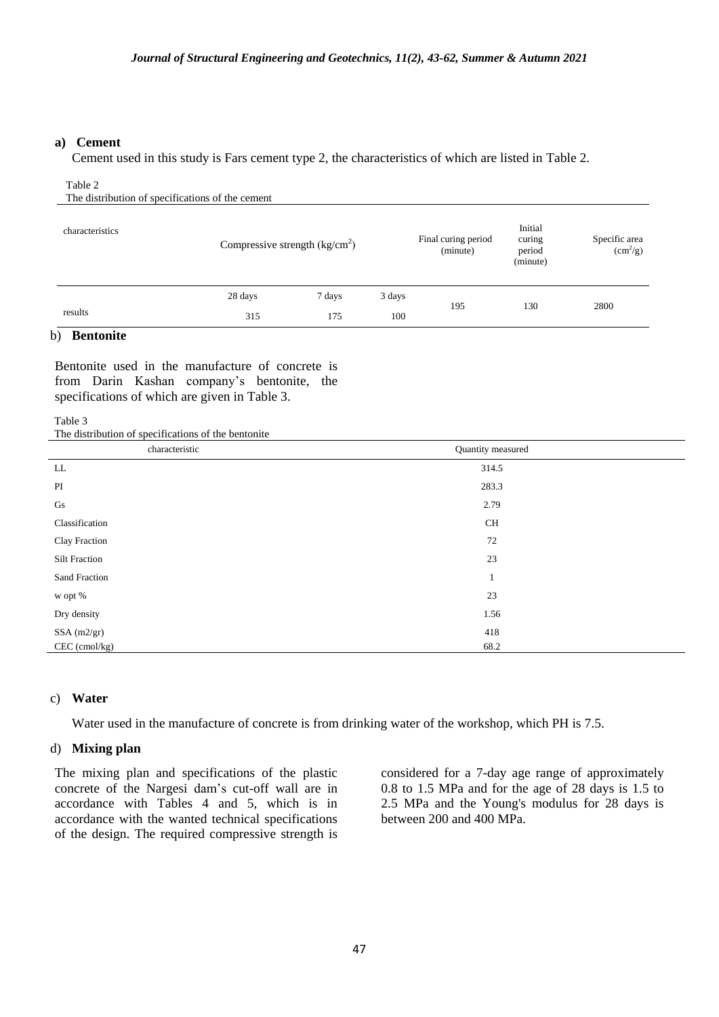#### **a) Cement**

Cement used in this study is Fars cement type 2, the characteristics of which are listed in Table 2.

#### Table 2

The distribution of specifications of the cement

| characteristics |         | Compressive strength $(kg/cm2)$ |        |     | Initial<br>curing<br>period<br>(minute) | Specific area<br>$\frac{\text{cm}^2}{g}$ |
|-----------------|---------|---------------------------------|--------|-----|-----------------------------------------|------------------------------------------|
|                 | 28 days | 7 days                          | 3 days | 195 | 130                                     | 2800                                     |
| results         | 315     | 175                             | 100    |     |                                         |                                          |

### b) **Bentonite**

Bentonite used in the manufacture of concrete is from Darin Kashan company's bentonite, the specifications of which are given in Table 3.

Table 3

The distribution of specifications of the bentonite

| characteristic       | Quantity measured |
|----------------------|-------------------|
| LL                   | 314.5             |
| PI                   | 283.3             |
| Gs                   | 2.79              |
| Classification       | CH                |
| Clay Fraction        | 72                |
| <b>Silt Fraction</b> | 23                |
| Sand Fraction        | $\mathbf{1}$      |
| w opt %              | 23                |
| Dry density          | 1.56              |
| SSA (m2/gr)          | 418               |
| CEC (cmol/kg)        | 68.2              |

# c) **Water**

Water used in the manufacture of concrete is from drinking water of the workshop, which PH is 7.5.

# d) **Mixing plan**

The mixing plan and specifications of the plastic concrete of the Nargesi dam's cut-off wall are in accordance with Tables 4 and 5, which is in accordance with the wanted technical specifications of the design. The required compressive strength is

considered for a 7-day age range of approximately 0.8 to 1.5 MPa and for the age of 28 days is 1.5 to 2.5 MPa and the Young's modulus for 28 days is between 200 and 400 MPa.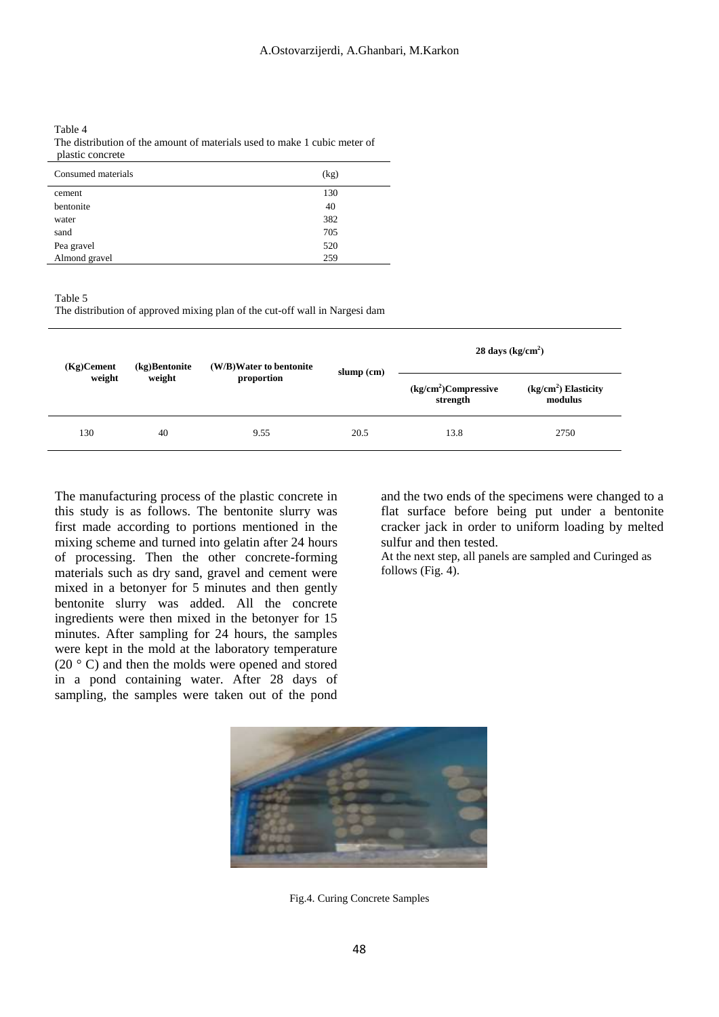Table 4 The distribution of the amount of materials used to make 1 cubic meter of plastic concrete

| Consumed materials | (kg) |
|--------------------|------|
| cement             | 130  |
| bentonite          | 40   |
| water              | 382  |
| sand               | 705  |
| Pea gravel         | 520  |
| Almond gravel      | 259  |

#### Table 5

The distribution of approved mixing plan of the cut-off wall in Nargesi dam

| $(Kg)$ Cement | (kg)Bentonite | (W/B) Water to bentonite |            | $28 \text{ days}$ (kg/cm <sup>2</sup> ) |                                  |
|---------------|---------------|--------------------------|------------|-----------------------------------------|----------------------------------|
| weight        | weight        | proportion               | slump (cm) | $(kg/cm2)$ Compressive<br>strength      | $(kg/cm2)$ Elasticity<br>modulus |
| 130           | 40            | 9.55                     | 20.5       | 13.8                                    | 2750                             |

The manufacturing process of the plastic concrete in this study is as follows. The bentonite slurry was first made according to portions mentioned in the mixing scheme and turned into gelatin after 24 hours of processing. Then the other concrete-forming materials such as dry sand, gravel and cement were mixed in a betonyer for 5 minutes and then gently bentonite slurry was added. All the concrete ingredients were then mixed in the betonyer for 15 minutes. After sampling for 24 hours, the samples were kept in the mold at the laboratory temperature (20 ° C) and then the molds were opened and stored in a pond containing water. After 28 days of sampling, the samples were taken out of the pond

and the two ends of the specimens were changed to a flat surface before being put under a bentonite cracker jack in order to uniform loading by melted sulfur and then tested.

At the next step, all panels are sampled and Curinged as follows (Fig. 4).



Fig.4. Curing Concrete Samples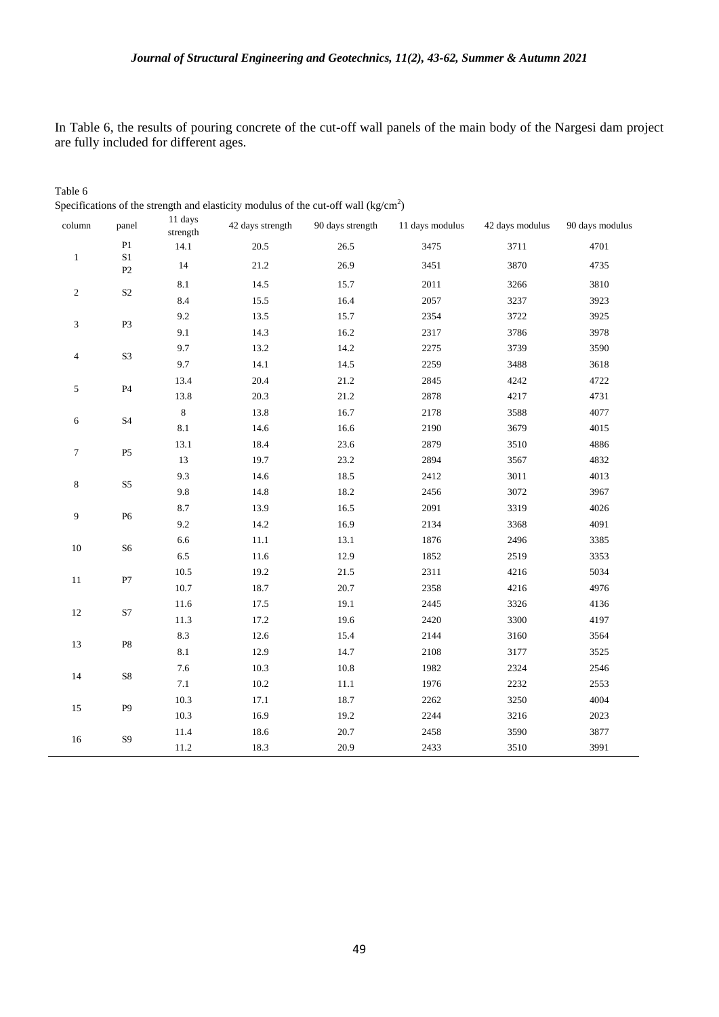In Table 6, the results of pouring concrete of the cut-off wall panels of the main body of the Nargesi dam project are fully included for different ages.

| column              | panel                          | 11 days<br>strength | 42 days strength | 90 days strength | 11 days modulus | 42 days modulus | 90 days modulus |
|---------------------|--------------------------------|---------------------|------------------|------------------|-----------------|-----------------|-----------------|
|                     | P1                             | 14.1                | 20.5             | 26.5             | 3475            | 3711            | 4701            |
| $\mathbf{1}$        | $\mathbf{S}1$<br>$\mathbf{P}2$ | $14\,$              | 21.2             | 26.9             | 3451            | 3870            | 4735            |
| $\sqrt{2}$          |                                | $8.1\,$             | 14.5             | 15.7             | 2011            | 3266            | 3810            |
|                     | $\mathbf{S2}$                  | $8.4\,$             | 15.5             | 16.4             | 2057            | 3237            | 3923            |
| $\mathfrak{Z}$      | P3                             | $9.2\,$             | 13.5             | 15.7             | 2354            | 3722            | 3925            |
|                     |                                | 9.1                 | 14.3             | 16.2             | 2317            | 3786            | 3978            |
|                     |                                | 9.7                 | 13.2             | 14.2             | 2275            | 3739            | 3590            |
| $\overline{4}$      | $\mathbf{S3}$                  | 9.7                 | 14.1             | 14.5             | 2259            | 3488            | 3618            |
|                     | $\mathbf{P}4$                  | 13.4                | 20.4             | 21.2             | 2845            | 4242            | 4722            |
| $\sqrt{5}$          |                                | 13.8                | 20.3             | 21.2             | 2878            | 4217            | 4731            |
|                     | $\ensuremath{\mathrm{S}}4$     | $\,8\,$             | 13.8             | 16.7             | 2178            | 3588            | 4077            |
| $\sqrt{6}$          |                                | $8.1\,$             | 14.6             | 16.6             | 2190            | 3679            | 4015            |
| $\tau$              | P <sub>5</sub>                 | 13.1                | 18.4             | 23.6             | 2879            | 3510            | 4886            |
|                     |                                | 13                  | 19.7             | 23.2             | 2894            | 3567            | 4832            |
| $\,8\,$<br>$\rm S5$ | 9.3                            | 14.6                | 18.5             | 2412             | 3011            | 4013            |                 |
|                     | 9.8                            | 14.8                | 18.2             | 2456             | 3072            | 3967            |                 |
|                     | $\overline{9}$<br>${\rm P6}$   | 8.7                 | 13.9             | 16.5             | 2091            | 3319            | 4026            |
|                     |                                | $9.2\,$             | 14.2             | 16.9             | 2134            | 3368            | 4091            |
| $10\,$              | ${\rm S6}$                     | $6.6\,$             | 11.1             | 13.1             | 1876            | 2496            | 3385            |
|                     |                                | $6.5\,$             | 11.6             | 12.9             | 1852            | 2519            | 3353            |
| $11\,$              | $\mathbf{P}7$                  | 10.5                | 19.2             | 21.5             | 2311            | 4216            | 5034            |
|                     |                                | $10.7\,$            | 18.7             | 20.7             | 2358            | 4216            | 4976            |
| 12                  | $\mathbf{S}7$                  | 11.6                | 17.5             | 19.1             | 2445            | 3326            | 4136            |
|                     |                                | 11.3                | 17.2             | 19.6             | 2420            | 3300            | 4197            |
| 13                  | ${\bf P}8$                     | $8.3\,$             | 12.6             | 15.4             | 2144            | 3160            | 3564            |
|                     |                                | $8.1\,$             | 12.9             | 14.7             | 2108            | 3177            | 3525            |
| $14\,$              | ${\rm S}8$                     | $7.6\,$             | 10.3             | $10.8\,$         | 1982            | 2324            | 2546            |
|                     |                                | $7.1\,$             | $10.2\,$         | 11.1             | 1976            | 2232            | 2553            |
|                     | P <sub>9</sub>                 | $10.3\,$            | 17.1             | 18.7             | 2262            | 3250            | 4004            |
| 15                  |                                | 10.3                | 16.9             | 19.2             | 2244            | 3216            | 2023            |
| $16\,$              | $\bf S9$                       | 11.4                | 18.6             | 20.7             | 2458            | 3590            | 3877            |
|                     |                                | 11.2                | 18.3             | 20.9             | 2433            | 3510            | 3991            |

Table 6 Specifications of the strength and elasticity modulus of the cut-off wall  $\frac{kg}{cm^2}$ )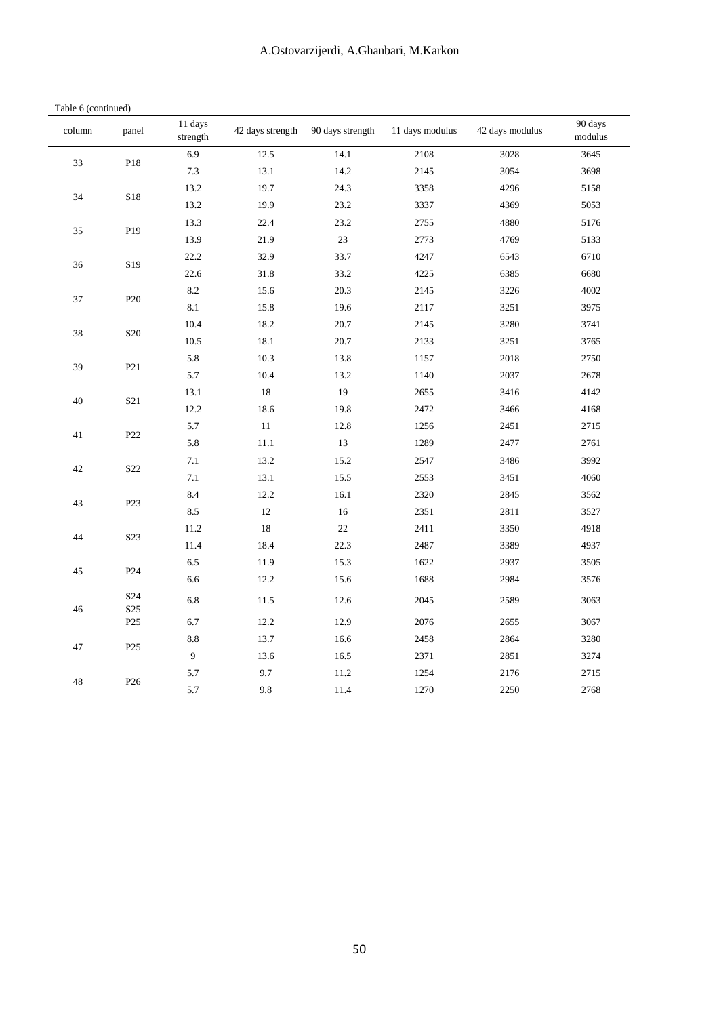|  | Table 6 (continued) |
|--|---------------------|
|--|---------------------|

| column            | panel                              | 11 days<br>strength | 42 days strength | 90 days strength | 11 days modulus | 42 days modulus | 90 days<br>modulus |
|-------------------|------------------------------------|---------------------|------------------|------------------|-----------------|-----------------|--------------------|
|                   |                                    | 6.9                 | 12.5             | 14.1             | 2108            | 3028            | 3645               |
| P18<br>33         | $7.3\,$                            | 13.1                | 14.2             | 2145             | 3054            | 3698            |                    |
| 34<br>${\bf S18}$ | 13.2                               | 19.7                | 24.3             | 3358             | 4296            | 5158            |                    |
|                   | 13.2                               | 19.9                | 23.2             | 3337             | 4369            | 5053            |                    |
|                   |                                    | 13.3                | 22.4             | 23.2             | 2755            | 4880            | 5176               |
| 35                | P19                                | 13.9                | 21.9             | 23               | 2773            | 4769            | 5133               |
|                   |                                    | 22.2                | 32.9             | 33.7             | 4247            | 6543            | 6710               |
| 36                | S <sub>19</sub>                    | 22.6                | 31.8             | 33.2             | 4225            | 6385            | 6680               |
|                   |                                    | $8.2\,$             | 15.6             | 20.3             | 2145            | 3226            | 4002               |
| 37                | ${\bf P20}$                        | $8.1\,$             | 15.8             | 19.6             | 2117            | 3251            | 3975               |
|                   |                                    | 10.4                | 18.2             | 20.7             | 2145            | 3280            | 3741               |
| 38                | <b>S20</b>                         | 10.5                | 18.1             | 20.7             | 2133            | 3251            | 3765               |
|                   | 39<br>P21                          | 5.8                 | 10.3             | 13.8             | 1157            | 2018            | 2750               |
|                   |                                    | 5.7                 | 10.4             | 13.2             | 1140            | 2037            | 2678               |
|                   | $40\,$<br>S <sub>21</sub>          | 13.1                | $18\,$           | 19               | 2655            | 3416            | 4142               |
|                   |                                    | 12.2                | 18.6             | 19.8             | 2472            | 3466            | 4168               |
|                   | $41\,$<br>P22                      | 5.7                 | $11\,$           | 12.8             | 1256            | 2451            | 2715               |
|                   |                                    | 5.8                 | 11.1             | 13               | 1289            | 2477            | 2761               |
|                   | $42\,$<br>$\mathbf{S22}$           | $7.1\,$             | 13.2             | 15.2             | 2547            | 3486            | 3992               |
|                   |                                    | $7.1\,$             | 13.1             | 15.5             | 2553            | 3451            | 4060               |
|                   | $8.4\,$                            | 12.2                | 16.1             | 2320             | 2845            | 3562            |                    |
|                   | $43\,$<br>P <sub>23</sub>          | $8.5\,$             | 12               | 16               | 2351            | 2811            | 3527               |
|                   |                                    | 11.2                | 18               | $22\,$           | 2411            | 3350            | 4918               |
| $44\,$            | S <sub>23</sub>                    | 11.4                | 18.4             | 22.3             | 2487            | 3389            | 4937               |
|                   |                                    | 6.5                 | 11.9             | 15.3             | 1622            | 2937            | 3505               |
| 45                | P <sub>24</sub>                    | 6.6                 | 12.2             | 15.6             | 1688            | 2984            | 3576               |
| 46                | S <sub>24</sub><br>S <sub>25</sub> | 6.8                 | 11.5             | 12.6             | 2045            | 2589            | 3063               |
|                   | $\mathbf{P}25$                     | 6.7                 | 12.2             | 12.9             | 2076            | 2655            | 3067               |
| 47                | P <sub>25</sub>                    | $8.8\,$             | 13.7             | 16.6             | 2458            | 2864            | 3280               |
|                   |                                    | $\overline{9}$      | 13.6             | 16.5             | 2371            | 2851            | 3274               |
|                   |                                    | 5.7                 | 9.7              | 11.2             | 1254            | 2176            | 2715               |
| $48\,$            | P <sub>26</sub>                    | 5.7                 | 9.8              | 11.4             | 1270            | 2250            | 2768               |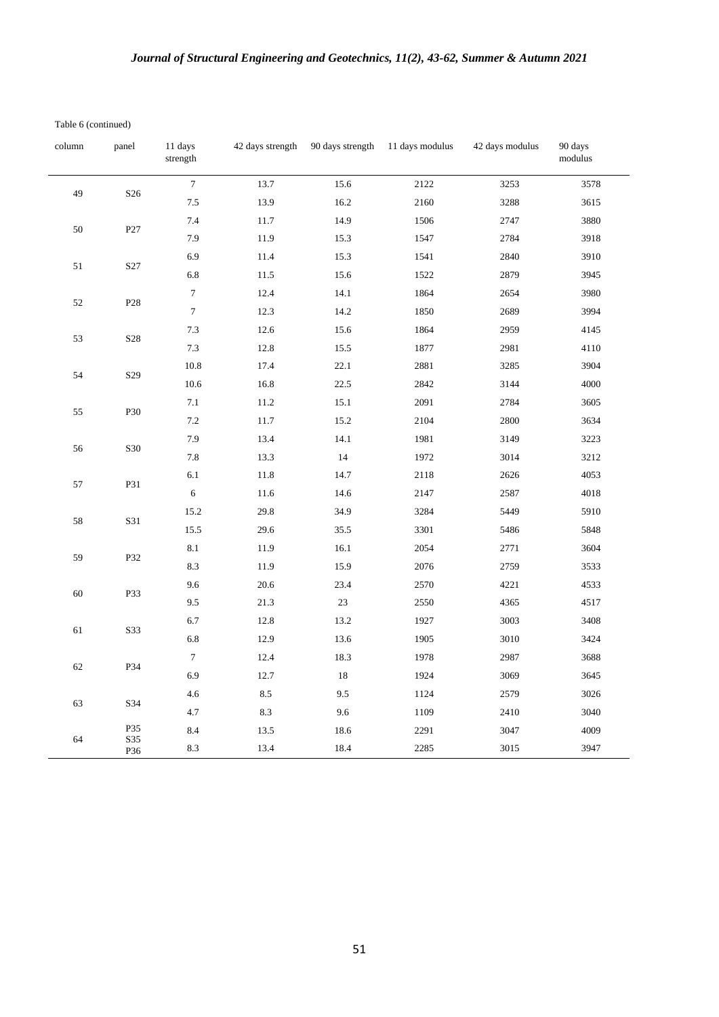# *Journal of Structural Engineering and Geotechnics, 11(2), 43-62, Summer & Autumn 2021*

Table 6 (continued)

| column                | panel                 | 11 days<br>strength | 42 days strength | 90 days strength | 11 days modulus | 42 days modulus | 90 days<br>modulus |
|-----------------------|-----------------------|---------------------|------------------|------------------|-----------------|-----------------|--------------------|
|                       |                       | $\boldsymbol{7}$    | 13.7             | 15.6             | 2122            | 3253            | 3578               |
| 49<br>S <sub>26</sub> | 7.5                   | 13.9                | 16.2             | 2160             | 3288            | 3615            |                    |
|                       | 50<br>P <sub>27</sub> | 7.4                 | 11.7             | 14.9             | 1506            | 2747            | 3880               |
|                       |                       | 7.9                 | 11.9             | 15.3             | 1547            | 2784            | 3918               |
|                       | 6.9                   | 11.4                | 15.3             | 1541             | 2840            | 3910            |                    |
|                       | 51<br>S27             | 6.8                 | 11.5             | 15.6             | 1522            | 2879            | 3945               |
|                       | P <sub>28</sub>       | $\boldsymbol{7}$    | 12.4             | 14.1             | 1864            | 2654            | 3980               |
| 52                    |                       | $\tau$              | 12.3             | 14.2             | 1850            | 2689            | 3994               |
| 53                    | ${\bf S28}$           | 7.3                 | 12.6             | 15.6             | 1864            | 2959            | 4145               |
|                       |                       | 7.3                 | 12.8             | 15.5             | 1877            | 2981            | 4110               |
| 54                    | S <sub>29</sub>       | 10.8                | 17.4             | 22.1             | 2881            | 3285            | 3904               |
|                       |                       | 10.6                | 16.8             | 22.5             | 2842            | 3144            | 4000               |
| 55                    | P30                   | 7.1                 | 11.2             | 15.1             | 2091            | 2784            | 3605               |
|                       |                       | 7.2                 | 11.7             | 15.2             | 2104            | 2800            | 3634               |
|                       | S30<br>56             | 7.9                 | 13.4             | 14.1             | 1981            | 3149            | 3223               |
|                       |                       | 7.8                 | 13.3             | 14               | 1972            | 3014            | 3212               |
|                       | P31<br>57             | $6.1\,$             | 11.8             | 14.7             | 2118            | 2626            | 4053               |
|                       |                       | $\sqrt{6}$          | 11.6             | 14.6             | 2147            | 2587            | 4018               |
|                       | 58<br>S31             | 15.2                | 29.8             | 34.9             | 3284            | 5449            | 5910               |
|                       |                       | 15.5                | 29.6             | 35.5             | 3301            | 5486            | 5848               |
| 59                    | P32                   | $8.1\,$             | 11.9             | 16.1             | 2054            | 2771            | 3604               |
|                       |                       | 8.3                 | 11.9             | 15.9             | 2076            | 2759            | 3533               |
| 60                    | P33                   | 9.6                 | 20.6             | 23.4             | 2570            | 4221            | 4533               |
|                       |                       | 9.5                 | 21.3             | 23               | 2550            | 4365            | 4517               |
| 61                    | S33                   | 6.7                 | 12.8             | 13.2             | 1927            | 3003            | 3408               |
|                       |                       | 6.8                 | 12.9             | 13.6             | 1905            | 3010            | 3424               |
| 62                    | P34                   | $\tau$              | 12.4             | 18.3             | 1978            | 2987            | 3688               |
|                       |                       | 6.9                 | 12.7             | $18\,$           | 1924            | 3069            | 3645               |
| 63                    | S34                   | 4.6                 | 8.5              | 9.5              | 1124            | 2579            | 3026               |
|                       |                       | 4.7                 | 8.3              | 9.6              | 1109            | 2410            | 3040               |
| 64                    | P35<br>S35            | 8.4                 | 13.5             | 18.6             | 2291            | 3047            | 4009               |
|                       | P36                   | 8.3                 | 13.4             | 18.4             | 2285            | 3015            | 3947               |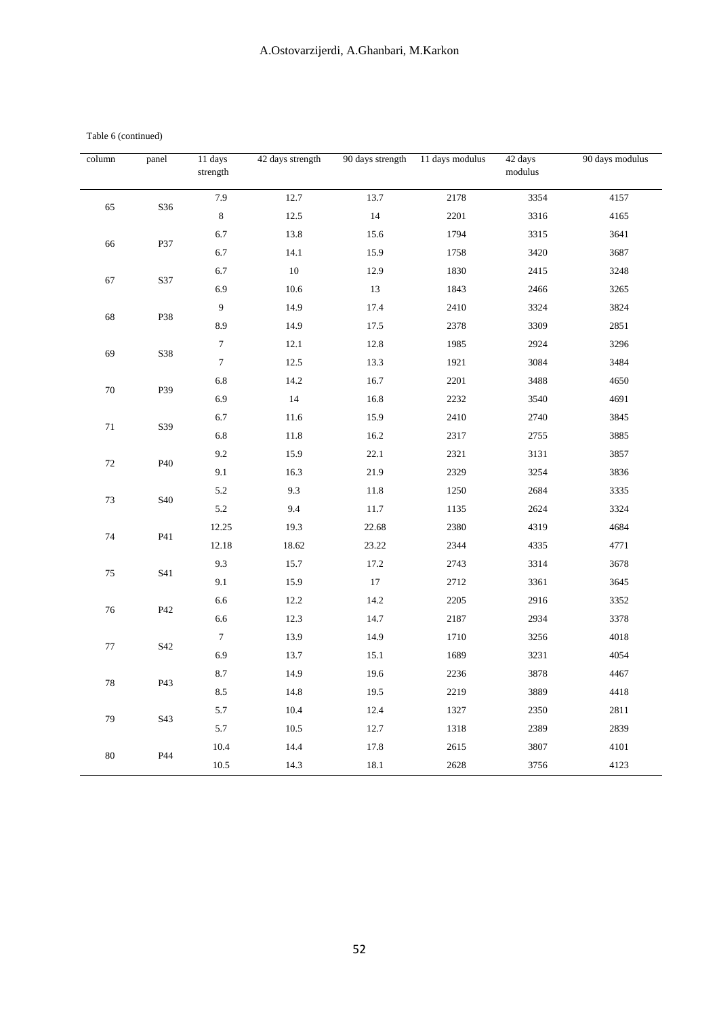|  | Table 6 (continued) |
|--|---------------------|
|--|---------------------|

| column        | panel                | 11 days<br>strength | 42 days strength | 90 days strength | 11 days modulus | 42 days<br>modulus | 90 days modulus |
|---------------|----------------------|---------------------|------------------|------------------|-----------------|--------------------|-----------------|
|               |                      | 7.9                 | 12.7             | 13.7             | 2178            | 3354               | 4157            |
| 65            | S36                  | $\,8\,$             | 12.5             | $14\,$           | 2201            | 3316               | 4165            |
|               |                      | 6.7                 | 13.8             | 15.6             | 1794            | 3315               | 3641            |
| 66            | P37                  | 6.7                 | 14.1             | 15.9             | 1758            | 3420               | 3687            |
|               |                      | $6.7\,$             | $10\,$           | 12.9             | 1830            | 2415               | 3248            |
| 67            | S37                  | 6.9                 | 10.6             | 13               | 1843            | 2466               | 3265            |
|               |                      | $\boldsymbol{9}$    | 14.9             | 17.4             | 2410            | 3324               | 3824            |
| 68            | P38                  | 8.9                 | 14.9             | 17.5             | 2378            | 3309               | 2851            |
|               |                      | $\boldsymbol{7}$    | 12.1             | 12.8             | 1985            | 2924               | 3296            |
| 69            | S38                  | $\boldsymbol{7}$    | 12.5             | 13.3             | 1921            | 3084               | 3484            |
|               |                      | 6.8                 | 14.2             | 16.7             | 2201            | 3488               | 4650            |
| $70\,$        | P39                  | 6.9                 | 14               | 16.8             | 2232            | 3540               | 4691            |
|               |                      | 6.7                 | 11.6             | 15.9             | 2410            | 2740               | 3845            |
| 71            | S39                  | 6.8                 | 11.8             | 16.2             | 2317            | 2755               | 3885            |
| $72\,$<br>P40 | 9.2                  | 15.9                | 22.1             | 2321             | 3131            | 3857               |                 |
|               | 9.1                  | 16.3                | 21.9             | 2329             | 3254            | 3836               |                 |
|               | $73\,$<br><b>S40</b> | 5.2                 | 9.3              | 11.8             | 1250            | 2684               | 3335            |
|               |                      | 5.2                 | 9.4              | 11.7             | 1135            | 2624               | 3324            |
|               |                      | 12.25               | 19.3             | 22.68            | 2380            | 4319               | 4684            |
| 74            | P41                  | 12.18               | 18.62            | 23.22            | 2344            | 4335               | 4771            |
|               |                      | 9.3                 | 15.7             | 17.2             | 2743            | 3314               | 3678            |
| $75\,$        | S41                  | 9.1                 | 15.9             | 17               | 2712            | 3361               | 3645            |
|               |                      | 6.6                 | 12.2             | 14.2             | 2205            | 2916               | 3352            |
| $76\,$        | P42                  | 6.6                 | 12.3             | 14.7             | $2187\,$        | 2934               | 3378            |
| $77\,$        | S42                  | $\boldsymbol{7}$    | 13.9             | 14.9             | 1710            | 3256               | 4018            |
|               |                      | 6.9                 | 13.7             | 15.1             | 1689            | 3231               | 4054            |
| $78\,$        |                      | $8.7\,$             | 14.9             | 19.6             | 2236            | 3878               | 4467            |
|               | P43                  | 8.5                 | 14.8             | 19.5             | 2219            | 3889               | 4418            |
|               |                      | $5.7\,$             | 10.4             | 12.4             | 1327            | 2350               | 2811            |
| 79            | S43                  | 5.7                 | 10.5             | 12.7             | 1318            | 2389               | 2839            |
|               |                      | 10.4                | 14.4             | 17.8             | 2615            | 3807               | 4101            |
| $80\,$        | P44                  | 10.5                | 14.3             | 18.1             | 2628            | 3756               | 4123            |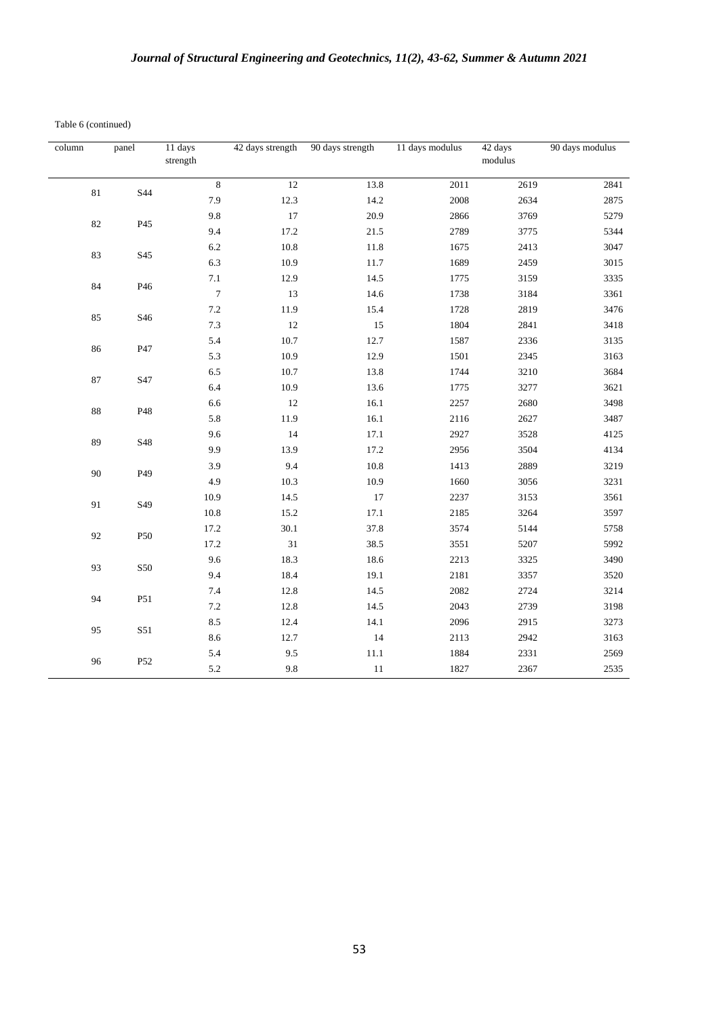# *Journal of Structural Engineering and Geotechnics, 11(2), 43-62, Summer & Autumn 2021*

Table 6 (continued)

| column   | panel | $11 \text{ days}$<br>strength | 42 days strength | 90 days strength | 11 days modulus | 42 days<br>modulus | 90 days modulus |
|----------|-------|-------------------------------|------------------|------------------|-----------------|--------------------|-----------------|
| $81\,$   |       | $\,8\,$                       | 12               | 13.8             | 2011            | 2619               | 2841            |
|          | S44   | 7.9                           | 12.3             | 14.2             | 2008            | 2634               | 2875            |
| $82\,$   | P45   | 9.8                           | $17\,$           | 20.9             | 2866            | 3769               | 5279            |
|          |       | 9.4                           | 17.2             | 21.5             | 2789            | 3775               | 5344            |
|          |       | $6.2\,$                       | $10.8\,$         | 11.8             | 1675            | 2413               | 3047            |
| 83       | S45   | 6.3                           | 10.9             | 11.7             | 1689            | 2459               | 3015            |
|          | P46   | $7.1\,$                       | 12.9             | 14.5             | 1775            | 3159               | 3335            |
| 84       |       | $\overline{7}$                | 13               | 14.6             | 1738            | 3184               | 3361            |
|          | S46   | $7.2\,$                       | 11.9             | 15.4             | 1728            | 2819               | 3476            |
| 85       |       | 7.3                           | $12\,$           | 15               | 1804            | 2841               | 3418            |
| 86       |       | 5.4                           | 10.7             | 12.7             | 1587            | 2336               | 3135            |
|          | P47   | 5.3                           | 10.9             | 12.9             | 1501            | 2345               | 3163            |
| $87\,$   |       | 6.5                           | 10.7             | 13.8             | 1744            | 3210               | 3684            |
|          | S47   | 6.4                           | 10.9             | 13.6             | 1775            | 3277               | 3621            |
| $\bf 88$ | P48   | 6.6                           | $12\,$           | 16.1             | 2257            | 2680               | 3498            |
|          |       | 5.8                           | 11.9             | 16.1             | 2116            | 2627               | 3487            |
| 89       | S48   | 9.6                           | 14               | 17.1             | 2927            | 3528               | 4125            |
|          |       | 9.9                           | 13.9             | 17.2             | 2956            | 3504               | 4134            |
| 90       | P49   | 3.9                           | 9.4              | 10.8             | 1413            | 2889               | 3219            |
|          |       | 4.9                           | 10.3             | 10.9             | 1660            | 3056               | 3231            |
| 91       | S49   | 10.9                          | 14.5             | 17               | 2237            | 3153               | 3561            |
|          |       | 10.8                          | 15.2             | 17.1             | 2185            | 3264               | 3597            |
| $92\,$   | P50   | 17.2                          | 30.1             | 37.8             | 3574            | 5144               | 5758            |
|          |       | 17.2                          | 31               | 38.5             | 3551            | 5207               | 5992            |
|          | S50   | 9.6                           | 18.3             | 18.6             | 2213            | 3325               | 3490            |
| 93       |       | 9.4                           | 18.4             | 19.1             | 2181            | 3357               | 3520            |
|          | P51   | 7.4                           | 12.8             | 14.5             | 2082            | 2724               | 3214            |
| 94       |       | $7.2\,$                       | 12.8             | 14.5             | 2043            | 2739               | 3198            |
| 95       | S51   | 8.5                           | 12.4             | 14.1             | 2096            | 2915               | 3273            |
|          |       | 8.6                           | 12.7             | 14               | 2113            | 2942               | 3163            |
|          | P52   | 5.4                           | 9.5              | $11.1\,$         | 1884            | 2331               | 2569            |
| 96       |       | 5.2                           | $\,9.8$          | $11\,$           | 1827            | 2367               | 2535            |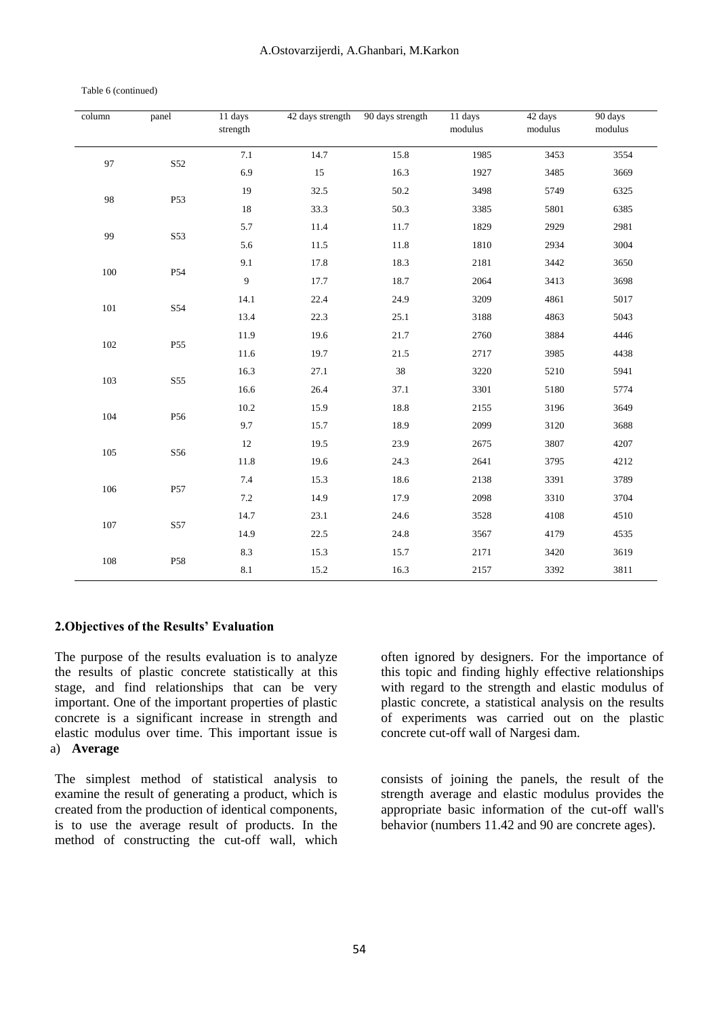Table 6 (continued)

| column | panel           | $\overline{11}$ days<br>strength |      | 42 days strength 90 days strength | 11 days<br>modulus | 42 days<br>modulus | 90 days<br>modulus |
|--------|-----------------|----------------------------------|------|-----------------------------------|--------------------|--------------------|--------------------|
| 97     | S52             | 7.1                              | 14.7 | 15.8                              | 1985               | 3453               | 3554               |
|        |                 | 6.9                              | 15   | 16.3                              | 1927               | 3485               | 3669               |
|        | P53             | 19                               | 32.5 | 50.2                              | 3498               | 5749               | 6325               |
| 98     |                 | 18                               | 33.3 | 50.3                              | 3385               | 5801               | 6385               |
|        | S53             | 5.7                              | 11.4 | 11.7                              | 1829               | 2929               | 2981               |
| 99     |                 | 5.6                              | 11.5 | 11.8                              | 1810               | 2934               | 3004               |
|        | P54             | 9.1                              | 17.8 | 18.3                              | 2181               | 3442               | 3650               |
| 100    |                 | $\boldsymbol{9}$                 | 17.7 | 18.7                              | 2064               | 3413               | 3698               |
|        | S54             | 14.1                             | 22.4 | 24.9                              | 3209               | 4861               | 5017               |
| 101    |                 | 13.4                             | 22.3 | 25.1                              | 3188               | 4863               | 5043               |
| 102    | P55             | 11.9                             | 19.6 | 21.7                              | 2760               | 3884               | 4446               |
|        |                 | 11.6                             | 19.7 | 21.5                              | 2717               | 3985               | 4438               |
| 103    | S55             | 16.3                             | 27.1 | 38                                | 3220               | 5210               | 5941               |
|        |                 | 16.6                             | 26.4 | 37.1                              | 3301               | 5180               | 5774               |
| 104    | P <sub>56</sub> | 10.2                             | 15.9 | 18.8                              | 2155               | 3196               | 3649               |
|        |                 | 9.7                              | 15.7 | 18.9                              | 2099               | 3120               | 3688               |
| 105    | S56             | $12\,$                           | 19.5 | 23.9                              | 2675               | 3807               | 4207               |
|        |                 | 11.8                             | 19.6 | 24.3                              | 2641               | 3795               | 4212               |
| 106    | P57             | 7.4                              | 15.3 | 18.6                              | 2138               | 3391               | 3789               |
|        |                 | 7.2                              | 14.9 | 17.9                              | 2098               | 3310               | 3704               |
| 107    | S57             | 14.7                             | 23.1 | 24.6                              | 3528               | 4108               | 4510               |
|        |                 | 14.9                             | 22.5 | 24.8                              | 3567               | 4179               | 4535               |
|        | P <sub>58</sub> | 8.3                              | 15.3 | 15.7                              | 2171               | 3420               | 3619               |
| 108    |                 | 8.1                              | 15.2 | 16.3                              | 2157               | 3392               | 3811               |

#### **2.Objectives of the Results' Evaluation**

The purpose of the results evaluation is to analyze the results of plastic concrete statistically at this stage, and find relationships that can be very important. One of the important properties of plastic concrete is a significant increase in strength and elastic modulus over time. This important issue is a) **Average**

The simplest method of statistical analysis to examine the result of generating a product, which is created from the production of identical components, is to use the average result of products. In the method of constructing the cut-off wall, which

often ignored by designers. For the importance of this topic and finding highly effective relationships with regard to the strength and elastic modulus of plastic concrete, a statistical analysis on the results of experiments was carried out on the plastic concrete cut-off wall of Nargesi dam.

consists of joining the panels, the result of the strength average and elastic modulus provides the appropriate basic information of the cut-off wall's behavior (numbers 11.42 and 90 are concrete ages).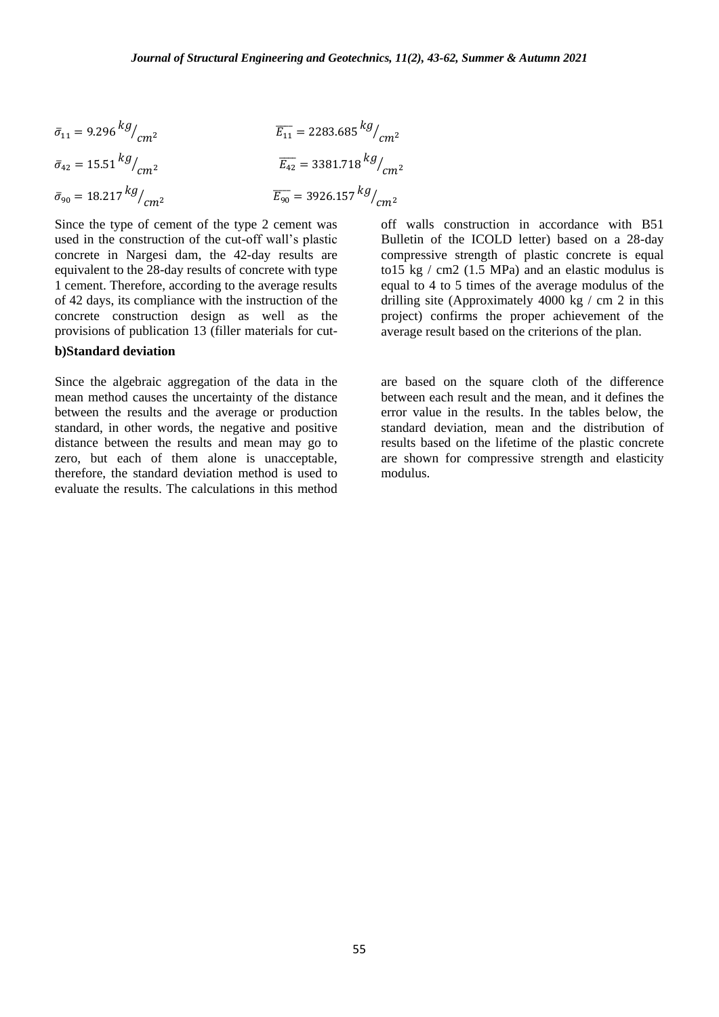$$
\overline{\sigma}_{11} = 9.296 \frac{kg}{cm^2}
$$
\n
$$
\overline{E}_{11} = 2283.685 \frac{kg}{cm^2}
$$
\n
$$
\overline{E}_{42} = 3381.718 \frac{kg}{cm^2}
$$
\n
$$
\overline{E}_{90} = 18.217 \frac{kg}{cm^2}
$$
\n
$$
\overline{E}_{90} = 3926.157 \frac{kg}{cm^2}
$$

Since the type of cement of the type 2 cement was used in the construction of the cut-off wall's plastic concrete in Nargesi dam, the 42-day results are equivalent to the 28-day results of concrete with type 1 cement. Therefore, according to the average results of 42 days, its compliance with the instruction of the concrete construction design as well as the provisions of publication 13 (filler materials for cut-

#### **b)Standard deviation**

Since the algebraic aggregation of the data in the mean method causes the uncertainty of the distance between the results and the average or production standard, in other words, the negative and positive distance between the results and mean may go to zero, but each of them alone is unacceptable, therefore, the standard deviation method is used to evaluate the results. The calculations in this method

off walls construction in accordance with B51 Bulletin of the ICOLD letter) based on a 28-day compressive strength of plastic concrete is equal to15 kg  $/$  cm2 (1.5 MPa) and an elastic modulus is equal to 4 to 5 times of the average modulus of the drilling site (Approximately  $4000 \text{ kg}$  / cm 2 in this project) confirms the proper achievement of the average result based on the criterions of the plan.

are based on the square cloth of the difference between each result and the mean, and it defines the error value in the results. In the tables below, the standard deviation, mean and the distribution of results based on the lifetime of the plastic concrete are shown for compressive strength and elasticity modulus.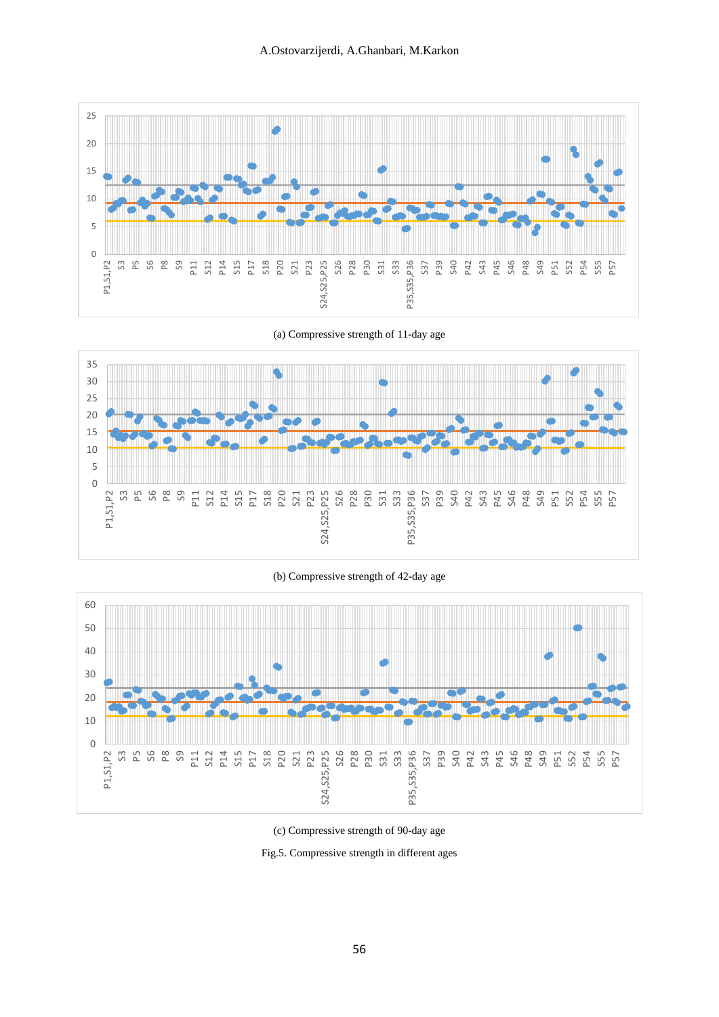

(a) Compressive strength of 11-day age



(b) Compressive strength of 42-day age



(c) Compressive strength of 90-day age

Fig.5. Compressive strength in different ages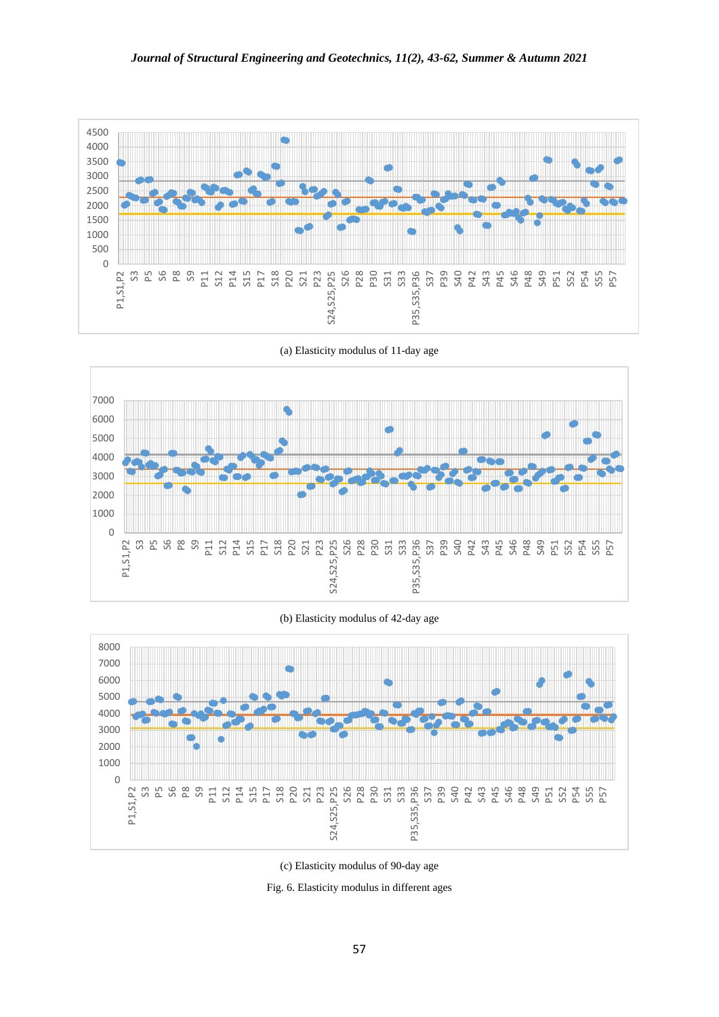

(a) Elasticity modulus of 11-day age



(b) Elasticity modulus of 42-day age



(c) Elasticity modulus of 90-day age

Fig. 6. Elasticity modulus in different ages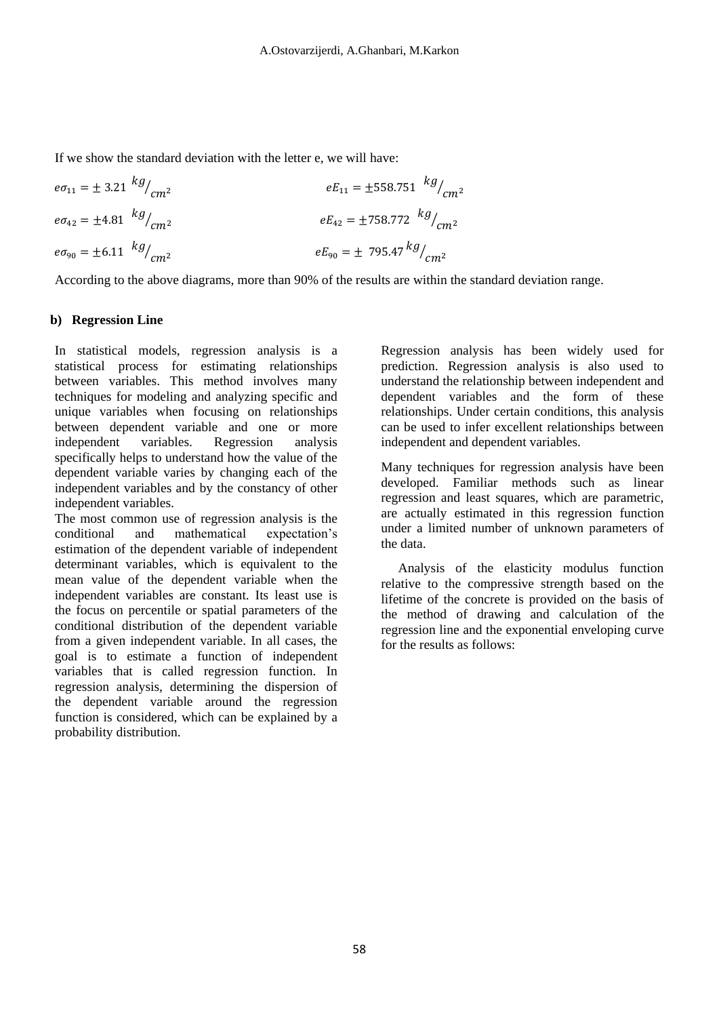If we show the standard deviation with the letter e, we will have:

$$
e\sigma_{11} = \pm 3.21 \frac{kg}{cm^2}
$$
  
\n
$$
e\sigma_{42} = \pm 4.81 \frac{kg}{cm^2}
$$
  
\n
$$
e\sigma_{90} = \pm 6.11 \frac{kg}{cm^2}
$$
  
\n
$$
e\sigma_{90} = \pm 6.11 \frac{kg}{cm^2}
$$
  
\n
$$
e\sigma_{90} = \pm 795.47 \frac{kg}{cm^2}
$$

According to the above diagrams, more than 90% of the results are within the standard deviation range.

# **b) Regression Line**

In statistical models, regression analysis is a statistical process for estimating relationships between variables. This method involves many techniques for modeling and analyzing specific and unique variables when focusing on relationships between dependent variable and one or more independent variables. Regression analysis specifically helps to understand how the value of the dependent variable varies by changing each of the independent variables and by the constancy of other independent variables.

The most common use of regression analysis is the conditional and mathematical expectation's estimation of the dependent variable of independent determinant variables, which is equivalent to the mean value of the dependent variable when the independent variables are constant. Its least use is the focus on percentile or spatial parameters of the conditional distribution of the dependent variable from a given independent variable. In all cases, the goal is to estimate a function of independent variables that is called regression function. In regression analysis, determining the dispersion of the dependent variable around the regression function is considered, which can be explained by a probability distribution.

Regression analysis has been widely used for prediction. Regression analysis is also used to understand the relationship between independent and dependent variables and the form of these relationships. Under certain conditions, this analysis can be used to infer excellent relationships between independent and dependent variables.

Many techniques for regression analysis have been developed. Familiar methods such as linear regression and least squares, which are parametric, are actually estimated in this regression function under a limited number of unknown parameters of the data.

Analysis of the elasticity modulus function relative to the compressive strength based on the lifetime of the concrete is provided on the basis of the method of drawing and calculation of the regression line and the exponential enveloping curve for the results as follows: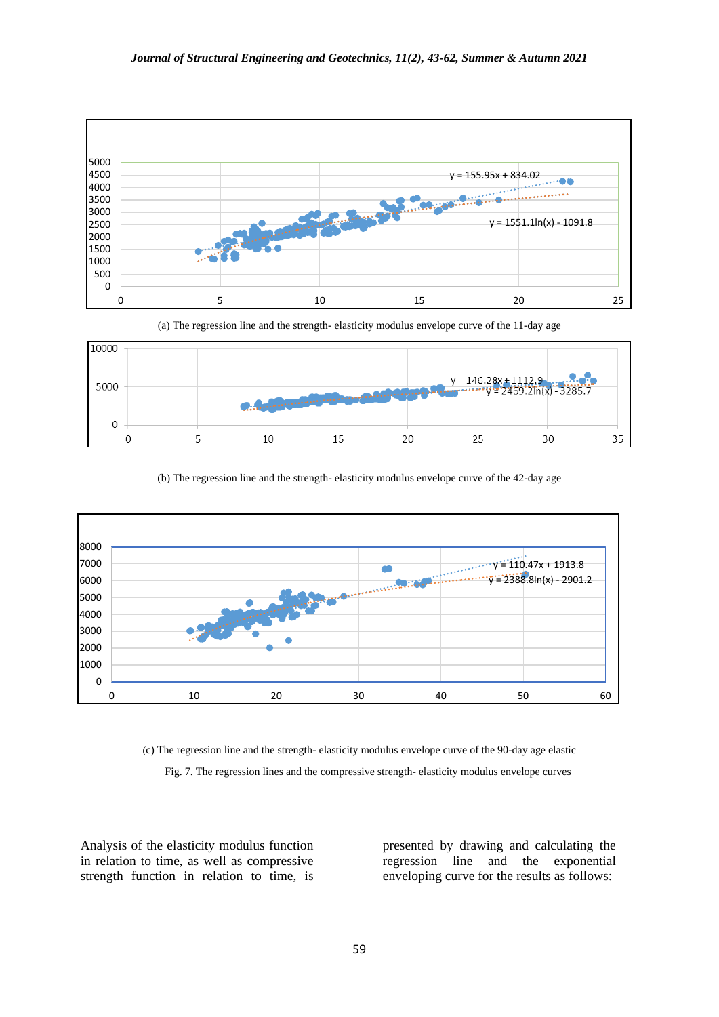

(a) The regression line and the strength- elasticity modulus envelope curve of the 11-day age



(b) The regression line and the strength- elasticity modulus envelope curve of the 42-day age



(c) The regression line and the strength- elasticity modulus envelope curve of the 90-day age elastic

Fig. 7. The regression lines and the compressive strength- elasticity modulus envelope curves

Analysis of the elasticity modulus function in relation to time, as well as compressive strength function in relation to time, is presented by drawing and calculating the regression line and the exponential enveloping curve for the results as follows: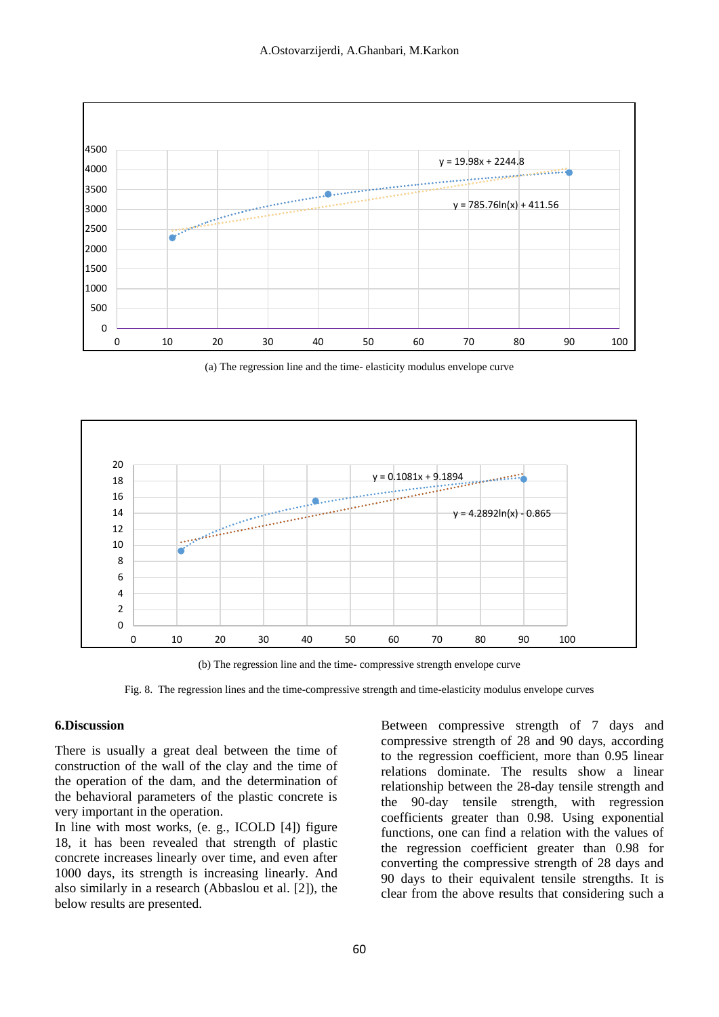

(a) The regression line and the time- elasticity modulus envelope curve



(b) The regression line and the time- compressive strength envelope curve

Fig. 8. The regression lines and the time-compressive strength and time-elasticity modulus envelope curves

#### **6.Discussion**

There is usually a great deal between the time of construction of the wall of the clay and the time of the operation of the dam, and the determination of the behavioral parameters of the plastic concrete is very important in the operation.

In line with most works, (e. g., ICOLD [4]) figure 18, it has been revealed that strength of plastic concrete increases linearly over time, and even after 1000 days, its strength is increasing linearly. And also similarly in a research (Abbaslou et al. [2]), the below results are presented.

Between compressive strength of 7 days and compressive strength of 28 and 90 days, according to the regression coefficient, more than 0.95 linear relations dominate. The results show a linear relationship between the 28-day tensile strength and the 90-day tensile strength, with regression coefficients greater than 0.98. Using exponential functions, one can find a relation with the values of the regression coefficient greater than 0.98 for converting the compressive strength of 28 days and 90 days to their equivalent tensile strengths. It is clear from the above results that considering such a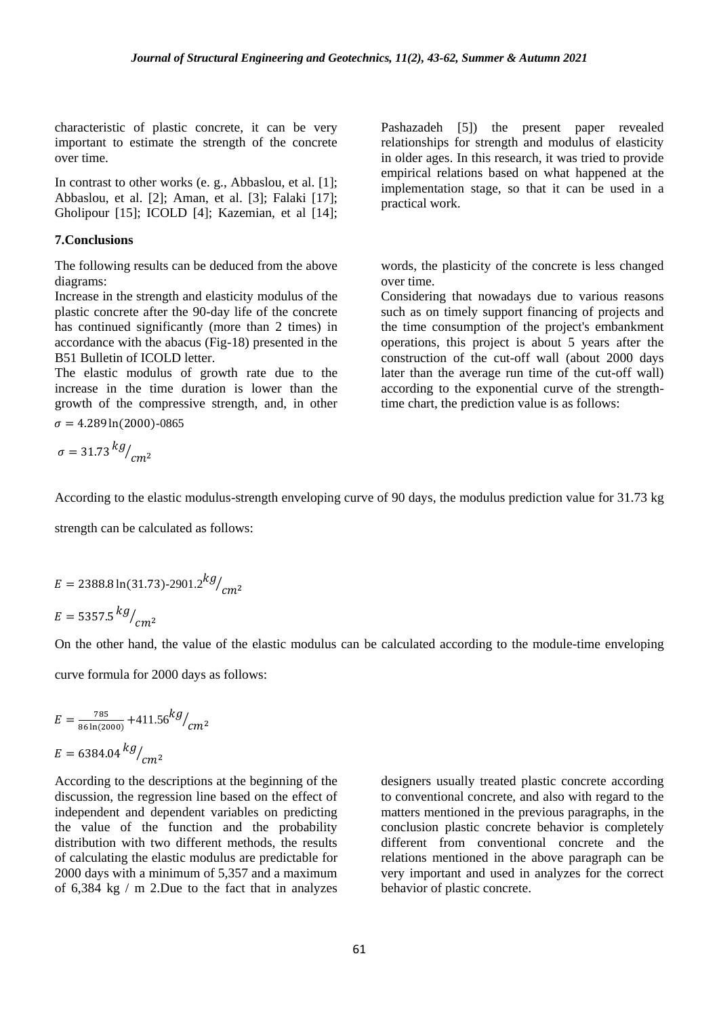characteristic of plastic concrete, it can be very important to estimate the strength of the concrete over time.

In contrast to other works (e. g., Abbaslou, et al. [1]; Abbaslou, et al. [2]; Aman, et al. [3]; Falaki [17]; Gholipour [15]; ICOLD [4]; Kazemian, et al [14];

#### **7.Conclusions**

The following results can be deduced from the above diagrams:

Increase in the strength and elasticity modulus of the plastic concrete after the 90-day life of the concrete has continued significantly (more than 2 times) in accordance with the abacus (Fig-18) presented in the B51 Bulletin of ICOLD letter.

The elastic modulus of growth rate due to the increase in the time duration is lower than the growth of the compressive strength, and, in other

 $\sigma = 4.289 \ln(2000) - 0865$ 

$$
\sigma = 31.73 \frac{kg}{cm^2}
$$

Pashazadeh [5]) the present paper revealed relationships for strength and modulus of elasticity in older ages. In this research, it was tried to provide empirical relations based on what happened at the implementation stage, so that it can be used in a practical work.

words, the plasticity of the concrete is less changed over time.

Considering that nowadays due to various reasons such as on timely support financing of projects and the time consumption of the project's embankment operations, this project is about 5 years after the construction of the cut-off wall (about 2000 days later than the average run time of the cut-off wall) according to the exponential curve of the strengthtime chart, the prediction value is as follows:

According to the elastic modulus-strength enveloping curve of 90 days, the modulus prediction value for 31.73 kg

strength can be calculated as follows:

$$
E = 2388.8 \ln(31.73) \cdot 2901.2 \frac{kg}{cm^2}
$$

$$
E = 5357.5 \frac{kg}{cm^2}
$$

On the other hand, the value of the elastic modulus can be calculated according to the module-time enveloping

curve formula for 2000 days as follows:

$$
E = \frac{785}{86 \ln(2000)} + 411.56 \frac{kg}{cm^2}
$$

$$
E = 6384.04 \frac{kg}{cm^2}
$$

According to the descriptions at the beginning of the discussion, the regression line based on the effect of independent and dependent variables on predicting the value of the function and the probability distribution with two different methods, the results of calculating the elastic modulus are predictable for 2000 days with a minimum of 5,357 and a maximum of 6,384 kg / m 2.Due to the fact that in analyzes

designers usually treated plastic concrete according to conventional concrete, and also with regard to the matters mentioned in the previous paragraphs, in the conclusion plastic concrete behavior is completely different from conventional concrete and the relations mentioned in the above paragraph can be very important and used in analyzes for the correct behavior of plastic concrete.